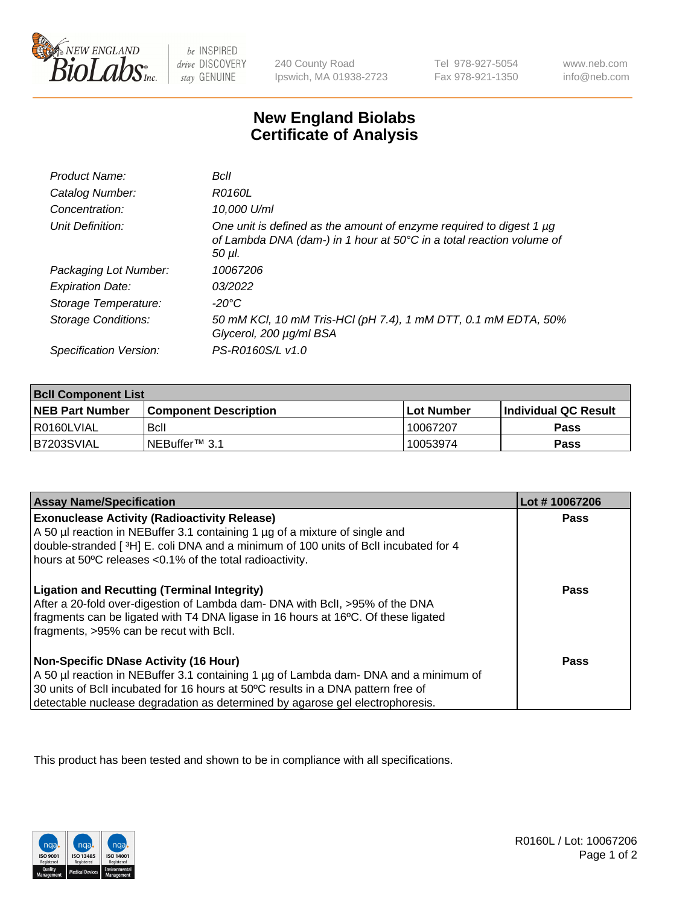

be INSPIRED drive DISCOVERY stay GENUINE

240 County Road Ipswich, MA 01938-2723

Tel 978-927-5054 Fax 978-921-1350

www.neb.com info@neb.com

## **New England Biolabs Certificate of Analysis**

| Product Name:              | Bcll                                                                                                                                                  |
|----------------------------|-------------------------------------------------------------------------------------------------------------------------------------------------------|
| Catalog Number:            | <i>R0160L</i>                                                                                                                                         |
| Concentration:             | 10,000 U/ml                                                                                                                                           |
| Unit Definition:           | One unit is defined as the amount of enzyme required to digest 1 µg<br>of Lambda DNA (dam-) in 1 hour at 50°C in a total reaction volume of<br>50 µl. |
| Packaging Lot Number:      | 10067206                                                                                                                                              |
| <b>Expiration Date:</b>    | 03/2022                                                                                                                                               |
| Storage Temperature:       | -20°C                                                                                                                                                 |
| <b>Storage Conditions:</b> | 50 mM KCl, 10 mM Tris-HCl (pH 7.4), 1 mM DTT, 0.1 mM EDTA, 50%<br>Glycerol, 200 µg/ml BSA                                                             |
| Specification Version:     | PS-R0160S/L v1.0                                                                                                                                      |

| <b>Bcll Component List</b> |                              |              |                             |  |
|----------------------------|------------------------------|--------------|-----------------------------|--|
| <b>NEB Part Number</b>     | <b>Component Description</b> | l Lot Number | <b>Individual QC Result</b> |  |
| I R0160LVIAL               | <b>B</b> cll                 | 10067207     | <b>Pass</b>                 |  |
| IB7203SVIAL                | l NEBuffer™ 3.1              | 10053974     | <b>Pass</b>                 |  |

| <b>Assay Name/Specification</b>                                                                                                                                                                                                                                                                    | Lot #10067206 |
|----------------------------------------------------------------------------------------------------------------------------------------------------------------------------------------------------------------------------------------------------------------------------------------------------|---------------|
| <b>Exonuclease Activity (Radioactivity Release)</b><br>A 50 µl reaction in NEBuffer 3.1 containing 1 µg of a mixture of single and<br>double-stranded [3H] E. coli DNA and a minimum of 100 units of Bcll incubated for 4<br>hours at 50°C releases <0.1% of the total radioactivity.              | Pass          |
| <b>Ligation and Recutting (Terminal Integrity)</b><br>After a 20-fold over-digestion of Lambda dam- DNA with BcII, >95% of the DNA<br>fragments can be ligated with T4 DNA ligase in 16 hours at 16°C. Of these ligated<br>fragments, >95% can be recut with Bcll.                                 | Pass          |
| Non-Specific DNase Activity (16 Hour)<br>A 50 µl reaction in NEBuffer 3.1 containing 1 µg of Lambda dam- DNA and a minimum of<br>30 units of BcII incubated for 16 hours at 50°C results in a DNA pattern free of<br>detectable nuclease degradation as determined by agarose gel electrophoresis. | Pass          |

This product has been tested and shown to be in compliance with all specifications.